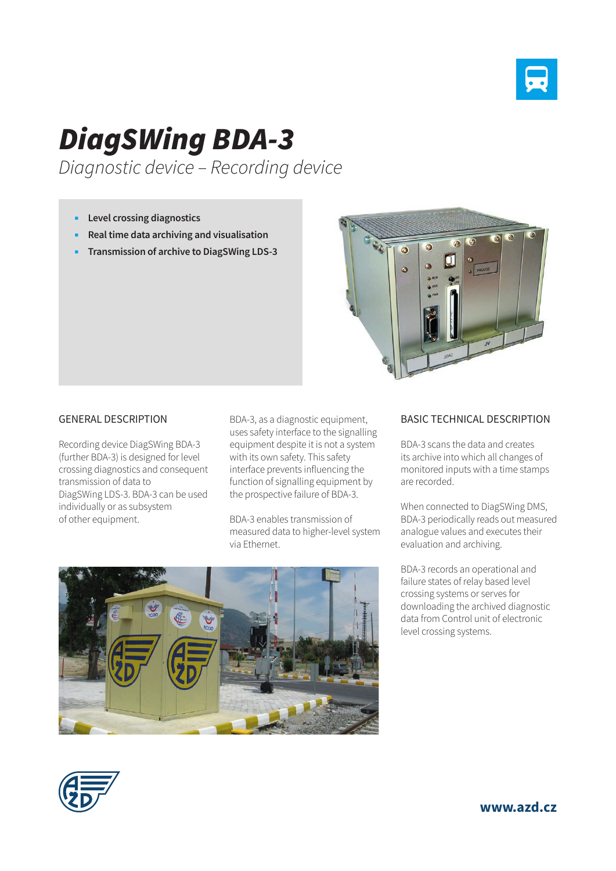

## *DiagSWing BDA-3*

*Diagnostic device – Recording device*

- **Level crossing diagnostics**
- **Real time data archiving and visualisation**
- **Transmission of archive to DiagSWing LDS-3**



## GENERAL DESCRIPTION

Recording device DiagSWing BDA-3 (further BDA-3) is designed for level crossing diagnostics and consequent transmission of data to DiagSWing LDS-3. BDA-3 can be used individually or as subsystem of other equipment.

BDA-3, as a diagnostic equipment, uses safety interface to the signalling equipment despite it is not a system with its own safety. This safety interface prevents influencing the function of signalling equipment by the prospective failure of BDA-3.

BDA-3 enables transmission of measured data to higher-level system via Ethernet.



## BASIC TECHNICAL DESCRIPTION

BDA-3 scans the data and creates its archive into which all changes of monitored inputs with a time stamps are recorded.

When connected to DiagSWing DMS, BDA-3 periodically reads out measured analogue values and executes their evaluation and archiving.

BDA-3 records an operational and failure states of relay based level crossing systems or serves for downloading the archived diagnostic data from Control unit of electronic level crossing systems.